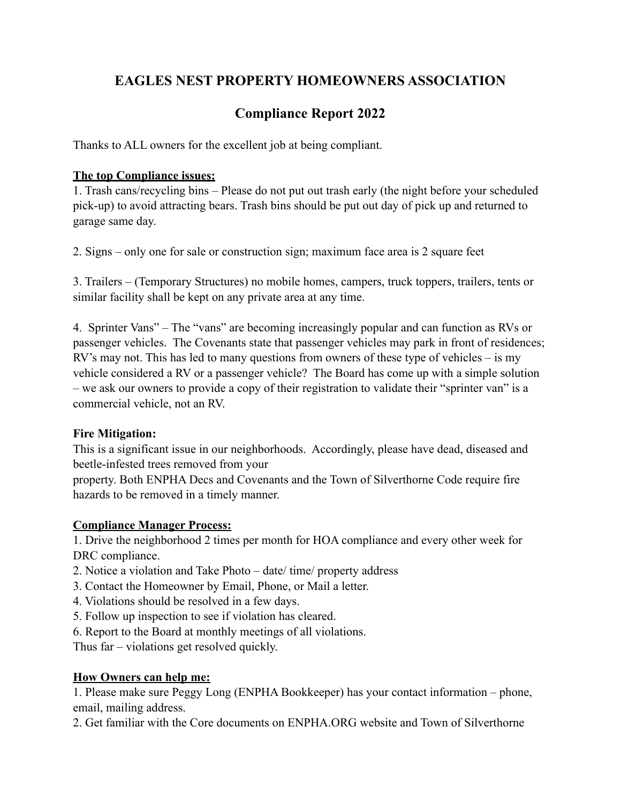## **EAGLES NEST PROPERTY HOMEOWNERS ASSOCIATION**

# **Compliance Report 2022**

Thanks to ALL owners for the excellent job at being compliant.

### **The top Compliance issues:**

1. Trash cans/recycling bins – Please do not put out trash early (the night before your scheduled pick-up) to avoid attracting bears. Trash bins should be put out day of pick up and returned to garage same day.

2. Signs – only one for sale or construction sign; maximum face area is 2 square feet

3. Trailers – (Temporary Structures) no mobile homes, campers, truck toppers, trailers, tents or similar facility shall be kept on any private area at any time.

4. Sprinter Vans" – The "vans" are becoming increasingly popular and can function as RVs or passenger vehicles. The Covenants state that passenger vehicles may park in front of residences; RV's may not. This has led to many questions from owners of these type of vehicles – is my vehicle considered a RV or a passenger vehicle? The Board has come up with a simple solution – we ask our owners to provide a copy of their registration to validate their "sprinter van" is a commercial vehicle, not an RV.

### **Fire Mitigation:**

This is a significant issue in our neighborhoods. Accordingly, please have dead, diseased and beetle-infested trees removed from your

property. Both ENPHA Decs and Covenants and the Town of Silverthorne Code require fire hazards to be removed in a timely manner.

## **Compliance Manager Process:**

1. Drive the neighborhood 2 times per month for HOA compliance and every other week for DRC compliance.

- 2. Notice a violation and Take Photo date/ time/ property address
- 3. Contact the Homeowner by Email, Phone, or Mail a letter.
- 4. Violations should be resolved in a few days.
- 5. Follow up inspection to see if violation has cleared.
- 6. Report to the Board at monthly meetings of all violations.

Thus far – violations get resolved quickly.

## **How Owners can help me:**

1. Please make sure Peggy Long (ENPHA Bookkeeper) has your contact information – phone, email, mailing address.

2. Get familiar with the Core documents on ENPHA.ORG website and Town of Silverthorne